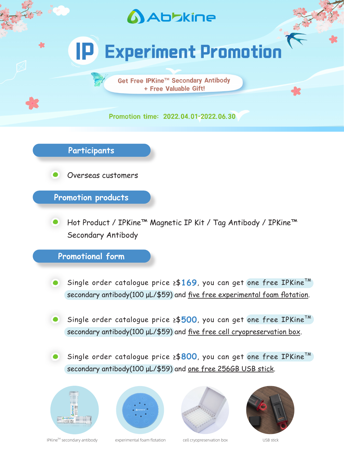

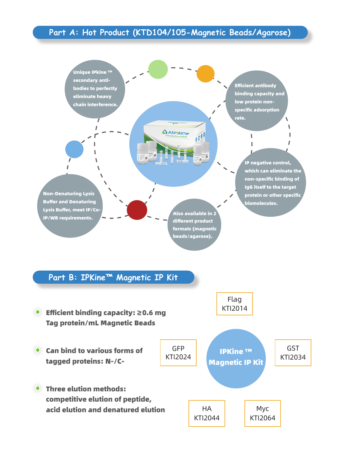## **Part A: Hot Product (KTD104/105-Magnetic Beads/Agarose)**

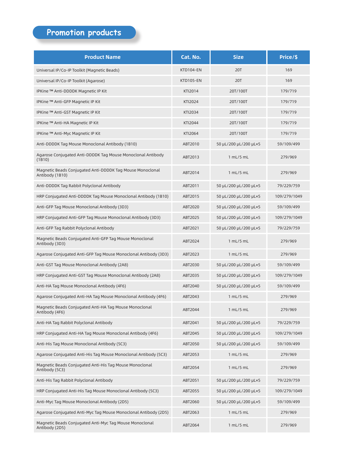## **Promotion products**

| <b>Product Name</b>                                                          | Cat. No.  | <b>Size</b>           | Price/\$     |
|------------------------------------------------------------------------------|-----------|-----------------------|--------------|
| Universal IP/Co-IP Toolkit (Magnetic Beads)                                  | KTD104-EN | 20T                   | 169          |
| Universal IP/Co-IP Toolkit (Agarose)                                         | KTD105-EN | <b>20T</b>            | 169          |
| IPKine ™ Anti-DDDDK Magnetic IP Kit                                          | KTI2014   | 20T/100T              | 179/719      |
| IPKine ™ Anti-GFP Magnetic IP Kit                                            | KTI2024   | 20T/100T              | 179/719      |
| IPKine ™ Anti-GST Magnetic IP Kit                                            | KTI2034   | 20T/100T              | 179/719      |
| IPKine ™ Anti-HA Magnetic IP Kit                                             | KTI2044   | 20T/100T              | 179/719      |
| IPKine ™ Anti-Myc Magnetic IP Kit                                            | KTI2064   | 20T/100T              | 179/719      |
| Anti-DDDDK Tag Mouse Monoclonal Antibody (1B10)                              | ABT2010   | 50 µL/200 µL/200 µL×5 | 59/109/499   |
| Agarose Conjugated Anti-DDDDK Tag Mouse Monoclonal Antibody<br>(1B10)        | ABT2013   | 1 mL/5 mL             | 279/969      |
| Magnetic Beads Conjugated Anti-DDDDK Tag Mouse Monoclonal<br>Antibody (1B10) | ABT2014   | 1 mL/5 mL             | 279/969      |
| Anti-DDDDK Tag Rabbit Polyclonal Antibody                                    | ABT2011   | 50 µL/200 µL/200 µL×5 | 79/229/759   |
| HRP Conjugated Anti-DDDDK Tag Mouse Monoclonal Antibody (1B10)               | ABT2015   | 50 µL/200 µL/200 µL×5 | 109/279/1049 |
| Anti-GFP Tag Mouse Monoclonal Antibody (3D3)                                 | ABT2020   | 50 µL/200 µL/200 µL×5 | 59/109/499   |
| HRP Conjugated Anti-GFP Tag Mouse Monoclonal Antibody (3D3)                  | ABT2025   | 50 µL/200 µL/200 µL×5 | 109/279/1049 |
| Anti-GFP Tag Rabbit Polyclonal Antibody                                      | ABT2021   | 50 µL/200 µL/200 µL×5 | 79/229/759   |
| Magnetic Beads Conjugated Anti-GFP Tag Mouse Monoclonal<br>Antibody (3D3)    | ABT2024   | 1 mL/5 mL             | 279/969      |
| Agarose Conjugated Anti-GFP Tag Mouse Monoclonal Antibody (3D3)              | ABT2023   | 1 mL/5 mL             | 279/969      |
| Anti-GST Tag Mouse Monoclonal Antibody (2A8)                                 | ABT2030   | 50 µL/200 µL/200 µL×5 | 59/109/499   |
| HRP Conjugated Anti-GST Tag Mouse Monoclonal Antibody (2A8)                  | ABT2035   | 50 µL/200 µL/200 µL×5 | 109/279/1049 |
| Anti-HA Tag Mouse Monoclonal Antibody (4F6)                                  | ABT2040   | 50 µL/200 µL/200 µL×5 | 59/109/499   |
| Agarose Conjugated Anti-HA Tag Mouse Monoclonal Antibody (4F6)               | ABT2043   | 1 mL/5 mL             | 279/969      |
| Magnetic Beads Conjugated Anti-HA Tag Mouse Monoclonal<br>Antibody (4F6)     | ABT2044   | $1$ mL/5 mL           | 279/969      |
| Anti-HA Tag Rabbit Polyclonal Antibody                                       | ABT2041   | 50 µL/200 µL/200 µL×5 | 79/229/759   |
| HRP Conjugated Anti-HA Tag Mouse Monoclonal Antibody (4F6)                   | ABT2045   | 50 µL/200 µL/200 µL×5 | 109/279/1049 |
| Anti-His Tag Mouse Monoclonal Antibody (5C3)                                 | ABT2050   | 50 µL/200 µL/200 µL×5 | 59/109/499   |
| Agarose Conjugated Anti-His Tag Mouse Monoclonal Antibody (5C3)              | ABT2053   | 1 mL/5 mL             | 279/969      |
| Magnetic Beads Conjugated Anti-His Tag Mouse Monoclonal<br>Antibody (5C3)    | ABT2054   | 1 mL/5 mL             | 279/969      |
| Anti-His Tag Rabbit Polyclonal Antibody                                      | ABT2051   | 50 µL/200 µL/200 µL×5 | 79/229/759   |
| HRP Conjugated Anti-His Tag Mouse Monoclonal Antibody (5C3)                  | ABT2055   | 50 µL/200 µL/200 µL×5 | 109/279/1049 |
| Anti-Myc Tag Mouse Monoclonal Antibody (2D5)                                 | ABT2060   | 50 µL/200 µL/200 µL×5 | 59/109/499   |
| Agarose Conjugated Anti-Myc Tag Mouse Monoclonal Antibody (2D5)              | ABT2063   | 1 mL/5 mL             | 279/969      |
| Magnetic Beads Conjugated Anti-Myc Tag Mouse Monoclonal<br>Antibody (2D5)    | ABT2064   | 1 mL/5 mL             | 279/969      |